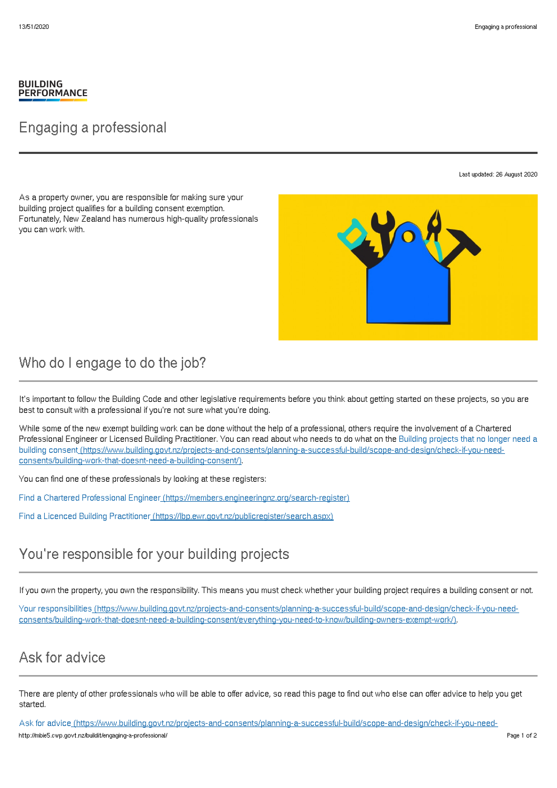#### **BUILDING PERFORMANCE**

## Engaging a professional

Last updated: 26 August 2020

As a property owner, you are responsible for making sure your building project qualifies for a building consent exemption. Fortunately, New Zealand has numerous high-quality professionals you can work with.



## Who do I engage to do the job?

It's important to follow the Building Code and other legislative requirements before you think about getting started on these projects, so you are best to consult with a professional if you're not sure what you're doing.

While some of the new exempt building work can be done without the help of a professional, others require the involvement of a Chartered Professional Engineer or Licensed Building Practitioner. You can read about who needs to do what on the Building projects that no longer need a building consent [\(https://www.building.govt.nz/projects-and-consents/planning-a-successful-build/scope-and-design/check-if-you-need](http://mbie5.cwp.govt.nz/projects-and-consents/planning-a-successful-build/scope-and-design/check-if-you-need-consents/building-work-that-doesnt-need-a-building-consent/)consents/building-work-that-doesnt-need-a-building-consent/).

You can find one of these professionals by looking at these registers:

Find a Chartered Professional Engineer [\(https://members.engineeringnz.org/search-register\)](https://members.engineeringnz.org/search-register)

Find a Licenced Building Practitioner [\(https://lbp.ewr.govt.nz/publicregister/search.aspx\)](https://lbp.ewr.govt.nz/publicregister/search.aspx)

# You're responsible for your building projects

If you own the property, you own the responsibility. This means you must check whether your building project requires a building consent or not.

Your responsibilities (https://www.building.govt.nz/projects-and-consents/planning-a-successful-build/scope-and-design/check-if-you-need[consents/building-work-that-doesnt-need-a-building-consent/everything-you-need-to-know/building-owners-exempt-work/\).](http://mbie5.cwp.govt.nz/projects-and-consents/planning-a-successful-build/scope-and-design/check-if-you-need-consents/building-work-that-doesnt-need-a-building-consent/everything-you-need-to-know/building-owners-exempt-work/)

# Ask for advice

There are plenty of other professionals who will be able to offer advice, so read this page to find out who else can offer advice to help you get started.

Ask for advice (https://www.building.govt.nz/projects-and-consents/planning-a-successful-build/scope-and-design/check-if-you-needhttp://mbie5.cwp.govt.nz/buildit/engaging-a-professional/ Page 1 of 2